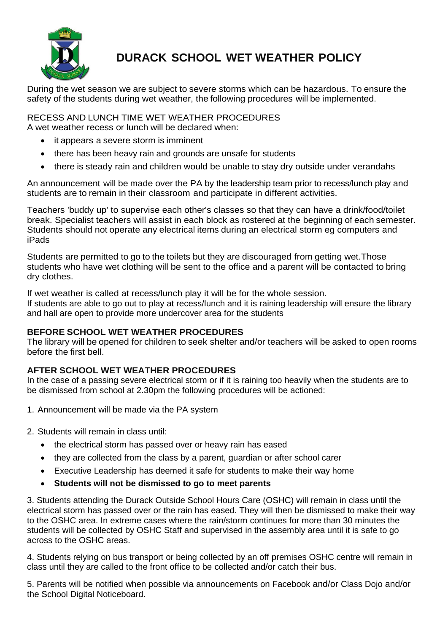

# **DURACK SCHOOL WET WEATHER POLICY**

During the wet season we are subject to severe storms which can be hazardous. To ensure the safety of the students during wet weather, the following procedures will be implemented.

RECESS AND LUNCH TIME WET WEATHER PROCEDURES A wet weather recess or lunch will be declared when:

- it appears a severe storm is imminent
- there has been heavy rain and grounds are unsafe for students
- there is steady rain and children would be unable to stay dry outside under verandahs

An announcement will be made over the PA by the leadership team prior to recess/lunch play and students are to remain in their classroom and participate in different activities.

Teachers 'buddy up' to supervise each other's classes so that they can have a drink/food/toilet break. Specialist teachers will assist in each block as rostered at the beginning of each semester. Students should not operate any electrical items during an electrical storm eg computers and iPads

Students are permitted to go to the toilets but they are discouraged from getting wet.Those students who have wet clothing will be sent to the office and a parent will be contacted to bring dry clothes.

If wet weather is called at recess/lunch play it will be for the whole session.

If students are able to go out to play at recess/lunch and it is raining leadership will ensure the library and hall are open to provide more undercover area for the students

#### **BEFORE SCHOOL WET WEATHER PROCEDURES**

The library will be opened for children to seek shelter and/or teachers will be asked to open rooms before the first bell.

#### **AFTER SCHOOL WET WEATHER PROCEDURES**

In the case of a passing severe electrical storm or if it is raining too heavily when the students are to be dismissed from school at 2.30pm the following procedures will be actioned:

1. Announcement will be made via the PA system

2. Students will remain in class until:

- the electrical storm has passed over or heavy rain has eased
- they are collected from the class by a parent, quardian or after school carer
- Executive Leadership has deemed it safe for students to make their way home
- **Students will not be dismissed to go to meet parents**

3. Students attending the Durack Outside School Hours Care (OSHC) will remain in class until the electrical storm has passed over or the rain has eased. They will then be dismissed to make their way to the OSHC area. In extreme cases where the rain/storm continues for more than 30 minutes the students will be collected by OSHC Staff and supervised in the assembly area until it is safe to go across to the OSHC areas.

4. Students relying on bus transport or being collected by an off premises OSHC centre will remain in class until they are called to the front office to be collected and/or catch their bus.

5. Parents will be notified when possible via announcements on Facebook and/or Class Dojo and/or the School Digital Noticeboard.